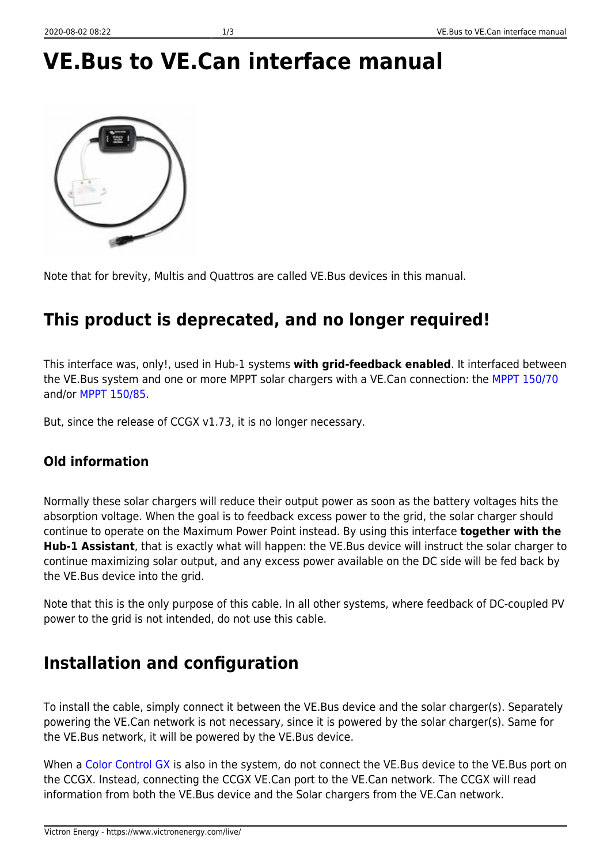# **VE.Bus to VE.Can interface manual**

Note that for brevity, Multis and Quattros are called VE.Bus devices in this manual.

#### **This product is deprecated, and no longer required!**

This interface was, only!, used in Hub-1 systems **with grid-feedback enabled**. It interfaced between the VE.Bus system and one or more MPPT solar chargers with a VE.Can connection: the [MPPT 150/70](https://www.victronenergy.com/solar-charge-controllers/mppt-150-70) and/or [MPPT 150/85](https://www.victronenergy.com/solar-charge-controllers/mppt-150-85).

But, since the release of CCGX v1.73, it is no longer necessary.

#### **Old information**

Normally these solar chargers will reduce their output power as soon as the battery voltages hits the absorption voltage. When the goal is to feedback excess power to the grid, the solar charger should continue to operate on the Maximum Power Point instead. By using this interface **together with the Hub-1 Assistant**, that is exactly what will happen: the VE.Bus device will instruct the solar charger to continue maximizing solar output, and any excess power available on the DC side will be fed back by the VE.Bus device into the grid.

Note that this is the only purpose of this cable. In all other systems, where feedback of DC-coupled PV power to the grid is not intended, do not use this cable.

#### **Installation and configuration**

To install the cable, simply connect it between the VE.Bus device and the solar charger(s). Separately powering the VE.Can network is not necessary, since it is powered by the solar charger(s). Same for the VE.Bus network, it will be powered by the VE.Bus device.

When a [Color Control GX](https://www.victronenergy.com/panel-systems-remote-monitoring/color-control) is also in the system, do not connect the VE.Bus device to the VE.Bus port on the CCGX. Instead, connecting the CCGX VE.Can port to the VE.Can network. The CCGX will read information from both the VE.Bus device and the Solar chargers from the VE.Can network.

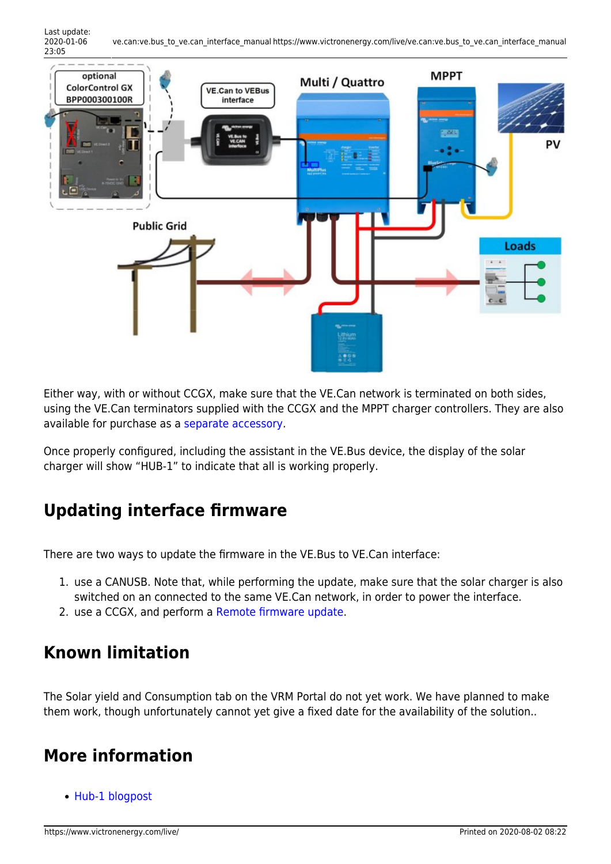

Either way, with or without CCGX, make sure that the VE.Can network is terminated on both sides, using the VE.Can terminators supplied with the CCGX and the MPPT charger controllers. They are also available for purchase as a [separate accessory.](https://www.victronenergy.com/accessories/ve-can-rj45-terminator)

Once properly configured, including the assistant in the VE.Bus device, the display of the solar charger will show "HUB-1" to indicate that all is working properly.

## **Updating interface firmware**

There are two ways to update the firmware in the VE.Bus to VE.Can interface:

- 1. use a CANUSB. Note that, while performing the update, make sure that the solar charger is also switched on an connected to the same VE.Can network, in order to power the interface.
- 2. use a CCGX, and perform a [Remote firmware update.](https://www.victronenergy.com/live/ccgx:ccgx_ve_power_setup?&#remote_firmware_update)

#### **Known limitation**

The Solar yield and Consumption tab on the VRM Portal do not yet work. We have planned to make them work, though unfortunately cannot yet give a fixed date for the availability of the solution..

## **More information**

• [Hub-1 blogpost](https://www.victronenergy.com/blog/2014/03/07/hub-1-available/)